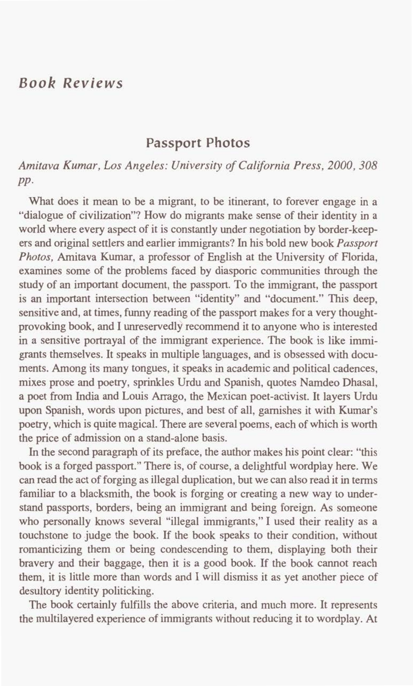## *Book Reviews*

## **Passport Photos**

## *Amitava Kumar, Los Angeles: University of California Press, 2000,308 PP-*

What does it mean to be a migrant, to be itinerant, to forever engage in a "dialogue of civilization"? How do migrants make sense of their identity in a world where every aspect of it is constantly under negotiation by border-keepers and original settlers and earlier immigrants? In his bold new **book** Passport Photos, Amitava **Kumar,** a professor of English at the University of Florida, examines some of the problems faced by diasporic communities through the study of an important document, the passport. **To** the immigrant, the passport is an important intersection between "identity" and "document." This deep, sensitive and, at times, funny reading of the passport makes for a very thoughtprovoking book, and I unreservedly recommend it to anyone who is interested in a sensitive portrayal of the immigrant experience. The **book** is like immigrants themselves. It speaks in multiple languages, and is obsessed with documents. Among its many tongues, it speaks in academic and political cadences, mixes prose and poetry, sprinkles Urdu and Spanish, quotes Namdeo Dhasal, a poet from India and Louis Arrago, the Mexican poet-activist. It layers Urdu upon Spanish, words upon pictures, and best of all, garnishes it with **Kumar's**  poetry, which is quite magical. There are several poems, each of which is worth the price of admission on a stand-alone basis.

In the second paragraph of its preface, the author makes **his** point clear: "this book is a forged passport." There is, of course, a delightful wordplay here. We can read the act of forging as illegal duplication, but we can also read it in terms familiar to a blacksmith, the book is forging or creating a new way to understand passports, borders, being an immigrant and being foreign. As someone who personally knows several "illegal immigrants," I used their reality as a touchstone to judge the book. If the **book** speaks to their condition, without romanticizing them or being condescending to them, displaying both their bravery and their baggage, then it is a good book. If the book cannot reach them, it is little more than words and I will dismiss it as yet another piece of desultory identity politicking.

The book certainly fulfiils the above criteria, and much more. It represents the multilayered experience of immigrants without reducing it to wordplay. At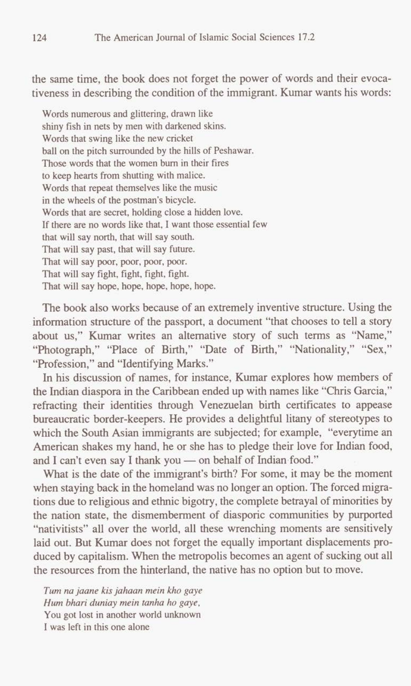the same time, the book does not forget the power of words and their evocativeness in describing the condition of the immigrant. Kumar wants his words:

Words numerous and glittering, drawn like shiny fish in nets by men with darkened **skins.**  Words that swing like the new cricket ball on the pitch surrounded by the hills of Peshawar. **Those** words that the women bum in their fires to keep hearts from shutting with malice. Words that repeat themselves like the music in the wheels of the postman's bicycle. Words that are secret, holding close a hidden love. If there are no words like that, I want those essential few that will say north, that will say south. That will say past, that will say **future.**  That will say poor, poor, poor, poor. That will say fight, fight, fight, fight. That will say hope, hope, hope, hope, hope.

The book also works because of an extremely inventive structure. Using the information structure of the passport, a document "that chooses to tell a story about **us,"** Kumar writes an alternative story of such terms as "Name," "Photograph," "Place of Birth," "Date of Birth," "Nationality," "Sex," "Profession," and "Identifying Marks."

In his discussion of names, for instance, Kumar explores how members of the Indian diaspora in the Caribbean ended up with names like "Chris Garcia," refracting their identities through Venezuelan birth certificates to appease bureaucratic border-keepers. He provides a delightful litany of stereotypes to which the South Asian immigrants are subjected; for example, "everytime an American shakes my hand, he or she has to pledge their love for Indian food, which the South Asian immigrants are subjected; for example,<br>American shakes my hand, he or she has to pledge their love<br>and I can't even say I thank you — on behalf of Indian food."<br>What is the data I the immigrant's birt

What is the **date** of the immigrant's birth? For some, it may be the moment when staying back in the homeland was no longer an option. The forced migrations due to religious and ethnic bigotry, the complete betrayal of minorities by the nation state, the dismemberment of diasporic communities by purported "nativitists" all over the world, all these wrenching moments are sensitively laid out. But Kumar does not forget the equally important displacements **pro**duced by capitalism. When the metropolis becomes an agent of sucking out all the resources from the hinterland, the native has no option but **to** move.

*Tum nu jaane kis jahaan mein kho gaye Hum bhari duniay mein tanha ho gaye,*  You got lost in another world **unknown**  I was left in this one alone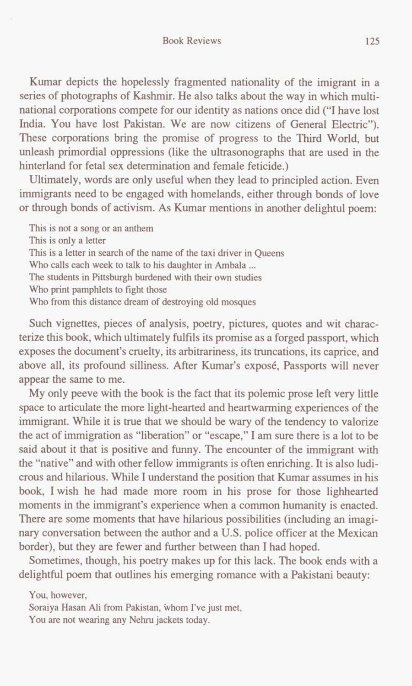Kumar depicts the hopelessly fragmented nationality of the imigrant in a series of photographs of Kashmir. He also talks about the way in which multinational corporations compete for our identity as nations once did ("I have lost India. You have lost Pakistan. We are now citizens of General Electric"). These corporations bring the promise of progress to the Third World, but unleash primordial oppressions (like the ultrasonographs that are used in the hinterland for fetal sex determination and female feticide.)

Ultimately, words are only useful when they lead to principled action. Even immigrants need to be engaged with homelands, either through bonds of love or through bonds of activism. As Kumar mentions in another delightul poem:

This **is not a song or an anthem This is only a letter**  This **is a letter in search of the name of the taxi driver in Queens**  Who **calls each week to talk to his daughter in Ambala** ... **The students in Pittsburgh burdened with their own studies**  Who **print pamphlets to fight those**  Who **from this distance dream of destroying old mosques** 

Such vignettes, pieces of analysis, poetry, pictures, quotes and wit characterize this book, which ultimately fulfils its promise as a forged passport, which exposes the document's cruelty, its arbitrariness, its truncations, its caprice, and above all, its profound silliness. After Kumar's expose, Passports will never appear the same to me.

My only peeve with the book is the fact that its polemic prose left very little space to articulate the more light-hearted and heartwarming experiences of the immigrant. While it is true that we should be wary of the tendency to valorize the act of immigration as "liberation" or "escape," I **am** sure there is a lot to be said about it that is positive and funny. The encounter of the immigrant with the "native" and with other fellow immigrants is often enriching. It is also ludicrous and hilarious. While I understand the position that Kumar assumes in his book, Iwish he had made more room in his prose for those lighhearted moments in the immigrant's experience when a common humanity is enacted. There are some moments that have hilarious possibilities (including an imagi**nary** conversation between the author and a U.S. police officer at the Mexican border), but they are fewer and further between than I had hoped.

Sometimes, though, his poetry makes up for this lack. The book ends with a delightful poem that outlines his emerging romance with a Pakistani beauty:

**You, however,** 

**Soraiya Hasan Ali from Pakistan, whom I've just met,** 

**You are not wearing any Nehru jackets today.**